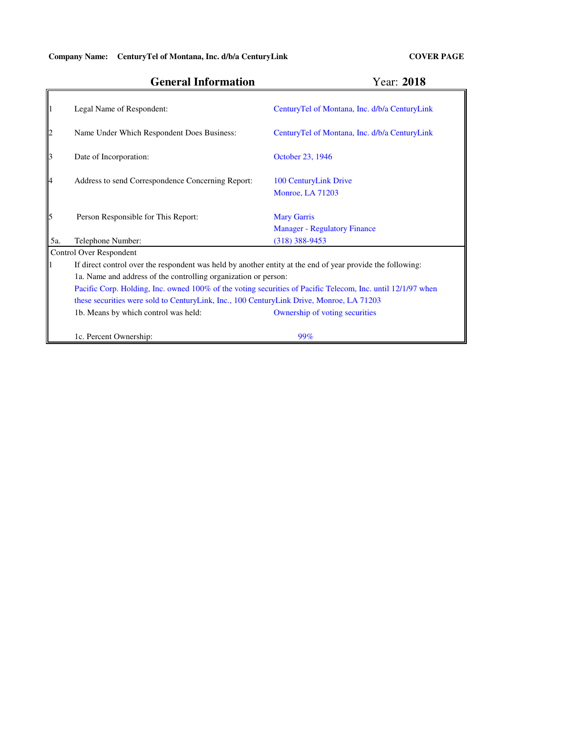# **General Information**

## Year: **2018**

|                                                     | Legal Name of Respondent:                                                                                   | CenturyTel of Montana, Inc. d/b/a CenturyLink             |  |  |  |  |  |
|-----------------------------------------------------|-------------------------------------------------------------------------------------------------------------|-----------------------------------------------------------|--|--|--|--|--|
| $\begin{array}{c} \n 2 \\ \hline\n 1\n \end{array}$ | Name Under Which Respondent Does Business:                                                                  | CenturyTel of Montana, Inc. d/b/a CenturyLink             |  |  |  |  |  |
| $\parallel$ <sub>3</sub>                            | Date of Incorporation:                                                                                      | October 23, 1946                                          |  |  |  |  |  |
|                                                     | Address to send Correspondence Concerning Report:                                                           | 100 CenturyLink Drive<br><b>Monroe, LA 71203</b>          |  |  |  |  |  |
|                                                     | Person Responsible for This Report:                                                                         | <b>Mary Garris</b><br><b>Manager - Regulatory Finance</b> |  |  |  |  |  |
| 5a.                                                 | Telephone Number:                                                                                           | $(318)$ 388-9453                                          |  |  |  |  |  |
|                                                     | <b>Control Over Respondent</b>                                                                              |                                                           |  |  |  |  |  |
|                                                     | If direct control over the respondent was held by another entity at the end of year provide the following:  |                                                           |  |  |  |  |  |
|                                                     | 1a. Name and address of the controlling organization or person:                                             |                                                           |  |  |  |  |  |
|                                                     | Pacific Corp. Holding, Inc. owned 100% of the voting securities of Pacific Telecom, Inc. until 12/1/97 when |                                                           |  |  |  |  |  |
|                                                     | these securities were sold to CenturyLink, Inc., 100 CenturyLink Drive, Monroe, LA 71203                    |                                                           |  |  |  |  |  |
|                                                     | 1b. Means by which control was held:                                                                        | Ownership of voting securities                            |  |  |  |  |  |
|                                                     | 1c. Percent Ownership:                                                                                      | 99%                                                       |  |  |  |  |  |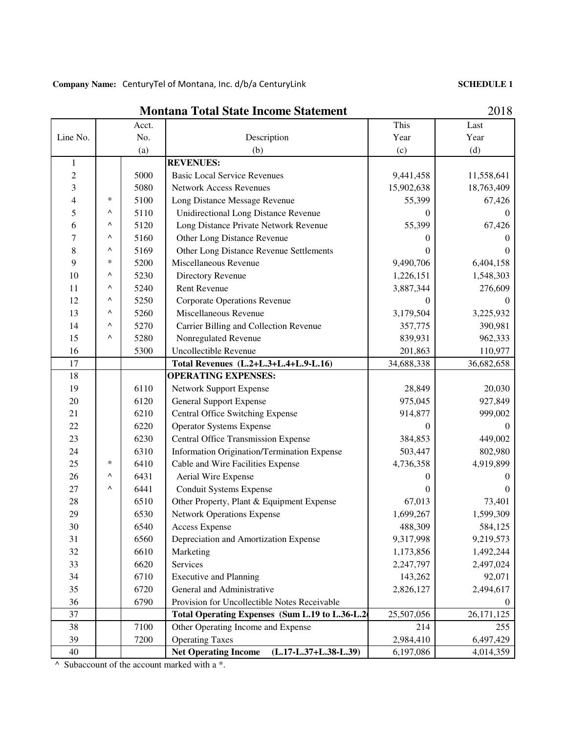Company Name: CenturyTel of Montana, Inc. d/b/a CenturyLink

 **SCHEDULE 1**

|                |        | Acct. |                                                        | This       | Last         |
|----------------|--------|-------|--------------------------------------------------------|------------|--------------|
| Line No.       |        | No.   | Description                                            | Year       | Year         |
|                |        | (a)   | (b)                                                    | (c)        | (d)          |
| $\mathbf{1}$   |        |       | <b>REVENUES:</b>                                       |            |              |
| $\overline{c}$ |        | 5000  | <b>Basic Local Service Revenues</b>                    | 9,441,458  | 11,558,641   |
| 3              |        | 5080  | <b>Network Access Revenues</b>                         | 15,902,638 | 18,763,409   |
| 4              | *      | 5100  | Long Distance Message Revenue                          | 55,399     | 67,426       |
| 5              | Λ      | 5110  | Unidirectional Long Distance Revenue                   | 0          | $\theta$     |
| 6              | Λ      | 5120  | Long Distance Private Network Revenue                  | 55,399     | 67,426       |
| 7              | Λ      | 5160  | Other Long Distance Revenue                            | $^{(1)}$   | 0            |
| 8              | Λ      | 5169  | Other Long Distance Revenue Settlements                | 0          | $\Omega$     |
| 9              | $\ast$ | 5200  | Miscellaneous Revenue                                  | 9,490,706  | 6,404,158    |
| 10             | Λ      | 5230  | Directory Revenue                                      | 1,226,151  | 1,548,303    |
| 11             | Λ      | 5240  | <b>Rent Revenue</b>                                    | 3,887,344  | 276,609      |
| 12             | Λ      | 5250  | <b>Corporate Operations Revenue</b>                    | $\Omega$   | $\Omega$     |
| 13             | Λ      | 5260  | Miscellaneous Revenue                                  | 3,179,504  | 3,225,932    |
| 14             | Λ      | 5270  | Carrier Billing and Collection Revenue                 | 357,775    | 390,981      |
| 15             | Λ      | 5280  | Nonregulated Revenue                                   | 839,931    | 962,333      |
| 16             |        | 5300  | Uncollectible Revenue                                  | 201,863    | 110,977      |
| 17             |        |       | Total Revenues (L.2+L.3+L.4+L.9-L.16)                  | 34,688,338 | 36,682,658   |
| 18             |        |       | <b>OPERATING EXPENSES:</b>                             |            |              |
| 19             |        | 6110  | <b>Network Support Expense</b>                         | 28,849     | 20,030       |
| 20             |        | 6120  | <b>General Support Expense</b>                         | 975,045    | 927,849      |
| 21             |        | 6210  | Central Office Switching Expense                       | 914,877    | 999,002      |
| 22             |        | 6220  | <b>Operator Systems Expense</b>                        | 0          | $\mathbf{0}$ |
| 23             |        | 6230  | <b>Central Office Transmission Expense</b>             | 384,853    | 449,002      |
| 24             |        | 6310  | Information Origination/Termination Expense            | 503,447    | 802,980      |
| 25             | $\ast$ | 6410  | Cable and Wire Facilities Expense                      | 4,736,358  | 4,919,899    |
| 26             | ٨      | 6431  | Aerial Wire Expense                                    | $\theta$   |              |
| 27             | Λ      | 6441  | Conduit Systems Expense                                | $^{(1)}$   | $\Omega$     |
| 28             |        | 6510  | Other Property, Plant & Equipment Expense              | 67,013     | 73,401       |
| 29             |        | 6530  | <b>Network Operations Expense</b>                      | 1,699,267  | 1,599,309    |
| 30             |        | 6540  | <b>Access Expense</b>                                  | 488,309    | 584,125      |
| 31             |        | 6560  | Depreciation and Amortization Expense                  | 9,317,998  | 9,219,573    |
| 32             |        | 6610  | Marketing                                              | 1,173,856  | 1,492,244    |
| 33             |        | 6620  | Services                                               | 2,247,797  | 2,497,024    |
| 34             |        | 6710  | <b>Executive and Planning</b>                          | 143,262    | 92,071       |
| 35             |        | 6720  | General and Administrative                             | 2,826,127  | 2,494,617    |
| 36             |        | 6790  | Provision for Uncollectible Notes Receivable           |            | $\theta$     |
| 37             |        |       | Total Operating Expenses (Sum L.19 to L.36-L.2         | 25,507,056 | 26, 171, 125 |
| 38             |        | 7100  | Other Operating Income and Expense                     | 214        | 255          |
| 39             |        | 7200  | <b>Operating Taxes</b>                                 | 2,984,410  | 6,497,429    |
| 40             |        |       | $(L.17-L.37+L.38-L.39)$<br><b>Net Operating Income</b> | 6,197,086  | 4,014,359    |

**Montana Total State Income Statement**

2018

 $\land$  Subaccount of the account marked with a  $*$ .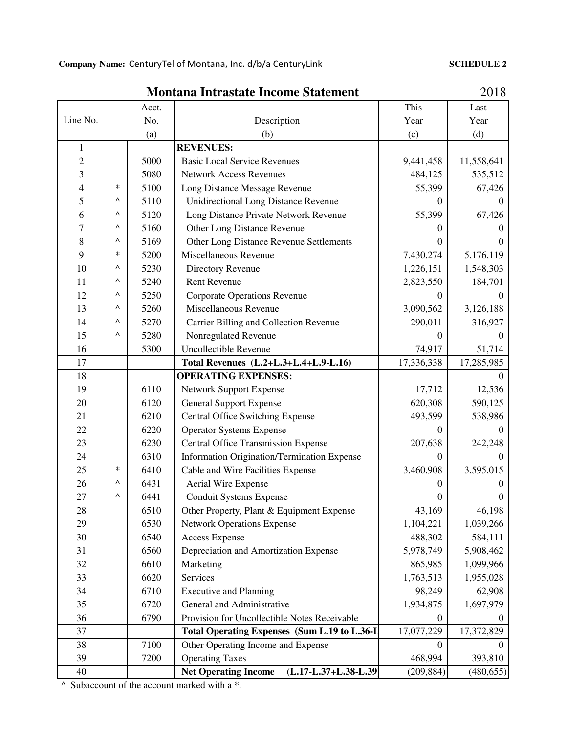### **SCHEDULE 2**

**Montana Intrastate Income Statement**

|                          |                                                      | Acct.                                |                                                      | This       | Last       |
|--------------------------|------------------------------------------------------|--------------------------------------|------------------------------------------------------|------------|------------|
| Line No.                 | No.                                                  |                                      | Description                                          | Year       | Year       |
|                          | (a)                                                  |                                      | (b)                                                  | (c)        | (d)        |
| $\mathbf{1}$             |                                                      |                                      | <b>REVENUES:</b>                                     |            |            |
| $\overline{c}$           |                                                      | 5000                                 | <b>Basic Local Service Revenues</b>                  | 9,441,458  | 11,558,641 |
| 3                        |                                                      | 5080                                 | <b>Network Access Revenues</b>                       | 484,125    | 535,512    |
| $\overline{\mathcal{L}}$ | $\ast$                                               | 5100                                 | Long Distance Message Revenue                        | 55,399     | 67,426     |
| 5                        | Λ                                                    | 5110                                 | <b>Unidirectional Long Distance Revenue</b>          | 0          | $\Omega$   |
| 6                        | ٨                                                    | 5120                                 | Long Distance Private Network Revenue                | 55,399     | 67,426     |
| 7                        | $\wedge$                                             | 5160                                 | Other Long Distance Revenue                          | 0          |            |
| 8                        | Λ                                                    | 5169                                 | Other Long Distance Revenue Settlements              | 0          |            |
| 9                        | $\ast$                                               | 5200                                 | Miscellaneous Revenue                                | 7,430,274  | 5,176,119  |
| 10                       | $\wedge$                                             | 5230                                 | Directory Revenue                                    | 1,226,151  | 1,548,303  |
| 11                       | Λ                                                    | 5240                                 | <b>Rent Revenue</b>                                  | 2,823,550  | 184,701    |
| 12                       | ٨                                                    | 5250                                 | <b>Corporate Operations Revenue</b>                  | $\theta$   |            |
| 13                       | ٨                                                    | 5260                                 | Miscellaneous Revenue                                | 3,090,562  | 3,126,188  |
| 14                       | ٨                                                    | 5270                                 | Carrier Billing and Collection Revenue               | 290,011    | 316,927    |
| 15                       | ٨                                                    | 5280                                 | Nonregulated Revenue                                 | 0          | 0          |
| 16                       |                                                      | <b>Uncollectible Revenue</b><br>5300 |                                                      | 74,917     | 51,714     |
| 17                       |                                                      |                                      | Total Revenues (L.2+L.3+L.4+L.9-L.16)                | 17,336,338 | 17,285,985 |
| 18                       |                                                      |                                      | <b>OPERATING EXPENSES:</b>                           |            | $\Omega$   |
| 19                       |                                                      | 6110                                 | <b>Network Support Expense</b>                       | 17,712     | 12,536     |
| 20                       |                                                      | 6120                                 | <b>General Support Expense</b>                       | 620,308    | 590,125    |
| 21                       |                                                      | 6210                                 | <b>Central Office Switching Expense</b>              | 493,599    | 538,986    |
| 22                       |                                                      | 6220                                 | <b>Operator Systems Expense</b>                      | 0          | $\theta$   |
| 23                       |                                                      | 6230                                 | <b>Central Office Transmission Expense</b>           | 207,638    | 242,248    |
| 24                       |                                                      | 6310                                 | Information Origination/Termination Expense          | 0          | 0          |
| 25                       | $\ast$                                               | 6410                                 | Cable and Wire Facilities Expense                    | 3,460,908  | 3,595,015  |
| 26                       | Λ                                                    | 6431                                 | <b>Aerial Wire Expense</b>                           |            |            |
| 27                       | ٨                                                    | 6441                                 | <b>Conduit Systems Expense</b>                       |            |            |
| 28                       |                                                      | 6510                                 | Other Property, Plant & Equipment Expense            | 43,169     | 46,198     |
| 29                       |                                                      | 6530                                 | <b>Network Operations Expense</b>                    | 1,104,221  | 1,039,266  |
| 30                       |                                                      | 6540                                 | <b>Access Expense</b>                                | 488,302    | 584,111    |
| 31                       | 6560                                                 |                                      | Depreciation and Amortization Expense                | 5,978,749  | 5,908,462  |
| 32                       | 6610                                                 |                                      | Marketing                                            | 865,985    | 1,099,966  |
| 33                       | 6620                                                 |                                      | <b>Services</b>                                      | 1,763,513  | 1,955,028  |
| 34                       | 6710                                                 |                                      | <b>Executive and Planning</b>                        | 98,249     | 62,908     |
| 35                       | 6720                                                 |                                      | General and Administrative                           | 1,934,875  | 1,697,979  |
| 36                       | 6790<br>Provision for Uncollectible Notes Receivable |                                      | $\boldsymbol{0}$                                     | 0          |            |
| 37                       |                                                      |                                      | Total Operating Expenses (Sum L.19 to L.36-L         | 17,077,229 | 17,372,829 |
| 38                       |                                                      | 7100                                 | Other Operating Income and Expense                   | 0          |            |
| 39                       |                                                      | 7200                                 | <b>Operating Taxes</b>                               | 468,994    | 393,810    |
| 40                       |                                                      |                                      | <b>Net Operating Income</b><br>(L.17-L.37+L.38-L.39) | (209, 884) | (480, 655) |

 $\overline{\wedge}$  Subaccount of the account marked with a  $\overline{\wedge}$ .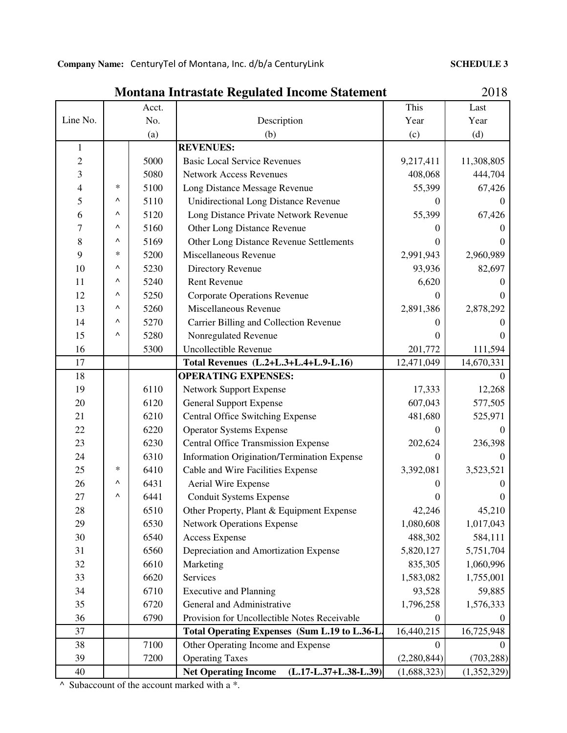### **SCHEDULE 3**

| Montana Intrastate Regulated Income Statement |  |
|-----------------------------------------------|--|
|-----------------------------------------------|--|

2018

|                |      | Acct.                                 |                                                        | This        | Last        |
|----------------|------|---------------------------------------|--------------------------------------------------------|-------------|-------------|
| Line No.       | No.  |                                       | Description                                            | Year        | Year        |
|                | (a)  |                                       | (b)                                                    | (c)         | (d)         |
| $\mathbf{1}$   |      | <b>REVENUES:</b>                      |                                                        |             |             |
| $\overline{c}$ |      | 5000                                  | <b>Basic Local Service Revenues</b>                    | 9,217,411   | 11,308,805  |
| 3              |      | 5080                                  | <b>Network Access Revenues</b>                         | 408,068     | 444,704     |
| $\overline{4}$ | ∗    | 5100                                  | Long Distance Message Revenue                          | 55,399      | 67,426      |
| 5              | Λ    | 5110                                  | <b>Unidirectional Long Distance Revenue</b>            | 0           | $\Omega$    |
| 6              | Λ    | 5120                                  | Long Distance Private Network Revenue                  | 55,399      | 67,426      |
| 7              | Λ    | 5160                                  | Other Long Distance Revenue                            | $\Omega$    |             |
| 8              | ٨    | 5169                                  | Other Long Distance Revenue Settlements                | 0           |             |
| 9              | ∗    | 5200                                  | Miscellaneous Revenue                                  | 2,991,943   | 2,960,989   |
| 10             | Λ    | 5230                                  | Directory Revenue                                      | 93,936      | 82,697      |
| 11             | ۸    | 5240                                  | <b>Rent Revenue</b>                                    | 6,620       |             |
| 12             | Λ    | 5250                                  | <b>Corporate Operations Revenue</b>                    | 0           |             |
| 13             | Λ    | 5260                                  | Miscellaneous Revenue                                  | 2,891,386   | 2,878,292   |
| 14             | Λ    | 5270                                  | Carrier Billing and Collection Revenue                 | 0           |             |
| 15             | Λ    | 5280                                  | Nonregulated Revenue                                   | $\theta$    |             |
| 16             |      | 5300                                  | Uncollectible Revenue                                  | 201,772     | 111,594     |
| 17             |      | Total Revenues (L.2+L.3+L.4+L.9-L.16) |                                                        | 12,471,049  | 14,670,331  |
| 18             |      |                                       | <b>OPERATING EXPENSES:</b>                             |             | 0           |
| 19             |      | 6110                                  | <b>Network Support Expense</b>                         | 17,333      | 12,268      |
| 20             |      | 6120                                  | <b>General Support Expense</b>                         | 607,043     | 577,505     |
| 21             |      | 6210                                  | <b>Central Office Switching Expense</b>                | 481,680     | 525,971     |
| 22             |      | 6220                                  | <b>Operator Systems Expense</b>                        | 0           | $\Omega$    |
| 23             |      | 6230                                  | <b>Central Office Transmission Expense</b>             | 202,624     | 236,398     |
| 24             |      | 6310                                  | Information Origination/Termination Expense            | $\theta$    | 0           |
| 25             | ∗    | 6410                                  | Cable and Wire Facilities Expense                      | 3,392,081   | 3,523,521   |
| 26             | Λ    | 6431                                  | Aerial Wire Expense                                    |             |             |
| 27             | Λ    | 6441                                  | <b>Conduit Systems Expense</b>                         |             |             |
| 28             |      | 6510                                  | Other Property, Plant & Equipment Expense              | 42,246      | 45,210      |
| 29             |      | 6530                                  | <b>Network Operations Expense</b>                      | 1,080,608   | 1,017,043   |
| 30             |      | 6540                                  | <b>Access Expense</b>                                  | 488,302     | 584,111     |
| 31             | 6560 |                                       | Depreciation and Amortization Expense                  | 5,820,127   | 5,751,704   |
| 32             | 6610 |                                       | Marketing                                              | 835,305     | 1,060,996   |
| 33             |      | 6620                                  | <b>Services</b>                                        | 1,583,082   | 1,755,001   |
| 34             | 6710 |                                       | <b>Executive and Planning</b>                          | 93,528      | 59,885      |
| 35             | 6720 |                                       | General and Administrative                             | 1,796,258   | 1,576,333   |
| 36             | 6790 |                                       | Provision for Uncollectible Notes Receivable           | 0           | $\theta$    |
| 37             |      |                                       | Total Operating Expenses (Sum L.19 to L.36-L.          | 16,440,215  | 16,725,948  |
| 38             |      | 7100                                  | Other Operating Income and Expense                     | 0           |             |
| 39             |      | 7200                                  | <b>Operating Taxes</b>                                 | (2,280,844) | (703, 288)  |
| 40             |      |                                       | <b>Net Operating Income</b><br>$(L.17-L.37+L.38-L.39)$ | (1,688,323) | (1,352,329) |

 $\land$  Subaccount of the account marked with a  $*$ .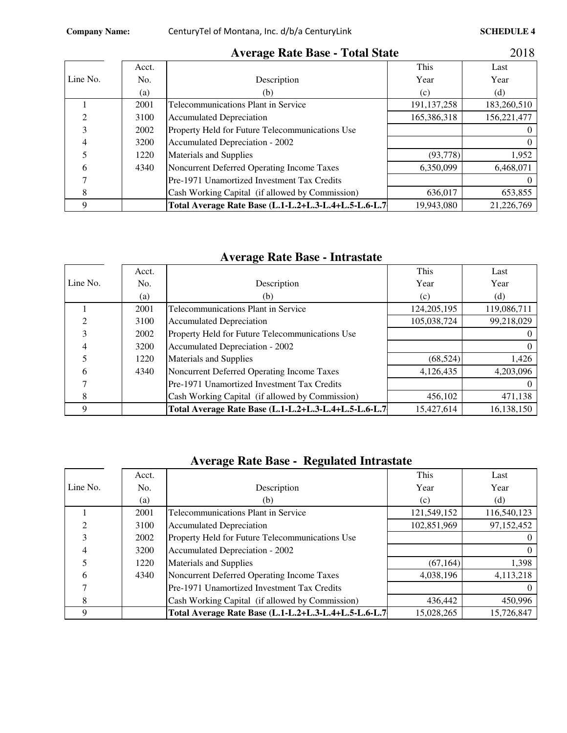п

|          |       | ິ                                                    |               |             |
|----------|-------|------------------------------------------------------|---------------|-------------|
|          | Acct. |                                                      | This          | Last        |
| Line No. | No.   | Description                                          | Year          | Year        |
|          | (a)   | (b)                                                  | (c)           | (d)         |
|          | 2001  | Telecommunications Plant in Service                  | 191, 137, 258 | 183,260,510 |
|          | 3100  | <b>Accumulated Depreciation</b>                      | 165,386,318   | 156,221,477 |
|          | 2002  | Property Held for Future Telecommunications Use      |               |             |
|          | 3200  | Accumulated Depreciation - 2002                      |               |             |
|          | 1220  | Materials and Supplies                               | (93, 778)     | 1,952       |
| h        | 4340  | Noncurrent Deferred Operating Income Taxes           | 6,350,099     | 6,468,071   |
|          |       | Pre-1971 Unamortized Investment Tax Credits          |               |             |
|          |       | Cash Working Capital (if allowed by Commission)      | 636,017       | 653,855     |
|          |       | Total Average Rate Base (L.1-L.2+L.3-L.4+L.5-L.6-L.7 | 19,943,080    | 21,226,769  |

## **Average Rate Base - Total State**

2018

## **Average Rate Base - Intrastate**

|          | Acct. |                                                      | This          | Last        |
|----------|-------|------------------------------------------------------|---------------|-------------|
| Line No. | No.   | Description                                          | Year          | Year        |
|          | (a)   | (b)                                                  | (c)           | (d)         |
|          | 2001  | Telecommunications Plant in Service                  | 124, 205, 195 | 119,086,711 |
| ◠        | 3100  | <b>Accumulated Depreciation</b>                      | 105,038,724   | 99,218,029  |
| 3        | 2002  | Property Held for Future Telecommunications Use      |               |             |
| 4        | 3200  | Accumulated Depreciation - 2002                      |               |             |
|          | 1220  | Materials and Supplies                               | (68, 524)     | 1,426       |
| h        | 4340  | Noncurrent Deferred Operating Income Taxes           | 4,126,435     | 4,203,096   |
|          |       | Pre-1971 Unamortized Investment Tax Credits          |               |             |
| 8        |       | Cash Working Capital (if allowed by Commission)      | 456,102       | 471,138     |
|          |       | Total Average Rate Base (L.1-L.2+L.3-L.4+L.5-L.6-L.7 | 15,427,614    | 16,138,150  |

## **Average Rate Base - Regulated Intrastate**

|          | Acct.              |                                                      | This        | Last        |
|----------|--------------------|------------------------------------------------------|-------------|-------------|
| Line No. | Description<br>No. |                                                      | Year        | Year        |
|          | (a)                | (b)                                                  | (c)         | (d)         |
|          | 2001               | <b>Telecommunications Plant in Service</b>           | 121,549,152 | 116,540,123 |
|          | 3100               | <b>Accumulated Depreciation</b>                      | 102,851,969 | 97,152,452  |
|          | 2002               | Property Held for Future Telecommunications Use      |             |             |
|          | 3200               | Accumulated Depreciation - 2002                      |             |             |
|          | 1220               | <b>Materials and Supplies</b>                        | (67, 164)   | 1,398       |
| 6        | 4340               | Noncurrent Deferred Operating Income Taxes           | 4,038,196   | 4,113,218   |
|          |                    | Pre-1971 Unamortized Investment Tax Credits          |             |             |
| 8        |                    | Cash Working Capital (if allowed by Commission)      | 436,442     | 450,996     |
|          |                    | Total Average Rate Base (L.1-L.2+L.3-L.4+L.5-L.6-L.7 | 15,028,265  | 15,726,847  |